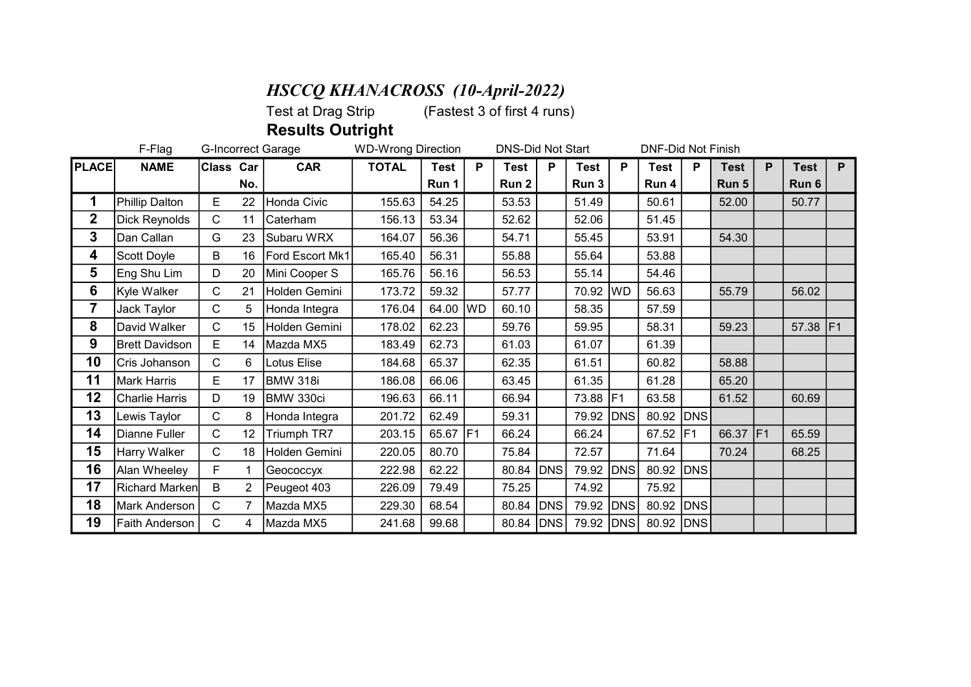## **HSCCQ KHANACROSS** (10-April-2022)<br>Test at Drag Strip (Fastest 3 of first 4 runs

 $(Faster 3 of first 4 runs)$ 

Results Outright

|              | F-Flag<br>G-Incorrect Garage |              |                |                 | <b>WD-Wrong Direction</b> |             |    | <b>DNS-Did Not Start</b> |            |           |            | <b>DNF-Did Not Finish</b> |                 |             |    |             |    |
|--------------|------------------------------|--------------|----------------|-----------------|---------------------------|-------------|----|--------------------------|------------|-----------|------------|---------------------------|-----------------|-------------|----|-------------|----|
| <b>PLACE</b> | <b>NAME</b>                  | Class Car    |                | <b>CAR</b>      | <b>TOTAL</b>              | <b>Test</b> | P  | <b>Test</b>              | P          | Test      | P          | <b>Test</b>               | P               | <b>Test</b> | P  | <b>Test</b> | P  |
|              |                              |              | No.            |                 |                           | Run 1       |    | Run 2                    |            | Run 3     |            | Run 4                     |                 | Run 5       |    | Run 6       |    |
| 1            | Phillip Dalton               | E.           | 22             | Honda Civic     | 155.63                    | 54.25       |    | 53.53                    |            | 51.49     |            | 50.61                     |                 | 52.00       |    | 50.77       |    |
| $\mathbf{2}$ | Dick Reynolds                | $\mathsf{C}$ | 11             | Caterham        | 156.13                    | 53.34       |    | 52.62                    |            | 52.06     |            | 51.45                     |                 |             |    |             |    |
| 3            | Dan Callan                   | G            | 23             | Subaru WRX      | 164.07                    | 56.36       |    | 54.71                    |            | 55.45     |            | 53.91                     |                 | 54.30       |    |             |    |
| 4            | Scott Doyle                  | B            | 16             | Ford Escort Mk1 | 165.40                    | 56.31       |    | 55.88                    |            | 55.64     |            | 53.88                     |                 |             |    |             |    |
| 5            | Eng Shu Lim                  | D            | 20             | Mini Cooper S   | 165.76                    | 56.16       |    | 56.53                    |            | 55.14     |            | 54.46                     |                 |             |    |             |    |
| 6            | Kyle Walker                  | $\mathsf{C}$ | 21             | Holden Gemini   | 173.72                    | 59.32       |    | 57.77                    |            | 70.92     | <b>WD</b>  | 56.63                     |                 | 55.79       |    | 56.02       |    |
| 7            | Jack Taylor                  | C            | 5              | Honda Integra   | 176.04                    | 64.00       | WD | 60.10                    |            | 58.35     |            | 57.59                     |                 |             |    |             |    |
| 8            | David Walker                 | C            | 15             | Holden Gemini   | 178.02                    | 62.23       |    | 59.76                    |            | 59.95     |            | 58.31                     |                 | 59.23       |    | 57.38       | F1 |
| 9            | <b>Brett Davidson</b>        | E            | 14             | Mazda MX5       | 183.49                    | 62.73       |    | 61.03                    |            | 61.07     |            | 61.39                     |                 |             |    |             |    |
| 10           | Cris Johanson                | $\mathsf{C}$ | 6              | Lotus Elise     | 184.68                    | 65.37       |    | 62.35                    |            | 61.51     |            | 60.82                     |                 | 58.88       |    |             |    |
| 11           | Mark Harris                  | E            | 17             | <b>BMW 318i</b> | 186.08                    | 66.06       |    | 63.45                    |            | 61.35     |            | 61.28                     |                 | 65.20       |    |             |    |
| 12           | <b>Charlie Harris</b>        | D            | 19             | BMW 330ci       | 196.63                    | 66.11       |    | 66.94                    |            | 73.88     | IF1        | 63.58                     |                 | 61.52       |    | 60.69       |    |
| 13           | Lewis Taylor                 | $\mathsf{C}$ | 8              | Honda Integra   | 201.72                    | 62.49       |    | 59.31                    |            | 79.92     | <b>DNS</b> | 80.92                     | <b>DNS</b>      |             |    |             |    |
| 14           | Dianne Fuller                | $\mathsf{C}$ | 12             | Triumph TR7     | 203.15                    | 65.67       | F1 | 66.24                    |            | 66.24     |            | 67.52                     | IF <sub>1</sub> | 66.37       | F1 | 65.59       |    |
| 15           | Harry Walker                 | $\mathsf{C}$ | 18             | Holden Gemini   | 220.05                    | 80.70       |    | 75.84                    |            | 72.57     |            | 71.64                     |                 | 70.24       |    | 68.25       |    |
| 16           | Alan Wheeley                 | F.           |                | Geococcyx       | 222.98                    | 62.22       |    | 80.84                    | <b>DNS</b> | 79.92     | <b>DNS</b> | 80.92                     | <b>DNS</b>      |             |    |             |    |
| 17           | Richard Marken               | B            | $\overline{2}$ | Peugeot 403     | 226.09                    | 79.49       |    | 75.25                    |            | 74.92     |            | 75.92                     |                 |             |    |             |    |
| 18           | Mark Anderson                | $\mathsf{C}$ |                | Mazda MX5       | 229.30                    | 68.54       |    | 80.84                    | DNS        | 79.92     | DNS        | 80.92                     | DNS             |             |    |             |    |
| 19           | Faith Anderson               | C            | 4              | Mazda MX5       | 241.68                    | 99.68       |    | 80.84                    | DNS        | 79.92 DNS |            | 80.92 DNS                 |                 |             |    |             |    |